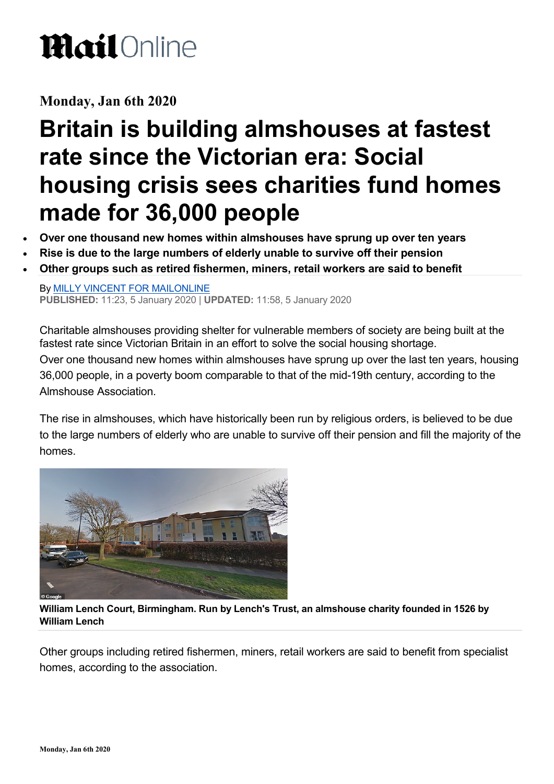## **Mail**Online

#### **Monday, Jan 6th 2020**

#### **Britain is building almshouses at fastest rate since the Victorian era: Social housing crisis sees charities fund homes made for 36,000 people**

- **Over one thousand new homes within almshouses have sprung up over ten years**
- **Rise is due to the large numbers of elderly unable to survive off their pension**
- **Other groups such as retired fishermen, miners, retail workers are said to benefit**

By [MILLY VINCENT FOR MAILONLINE](https://www.dailymail.co.uk/home/search.html?s=&authornamef=Milly+Vincent+For+Mailonline) **PUBLISHED:** 11:23, 5 January 2020 | **UPDATED:** 11:58, 5 January 2020

Charitable almshouses providing shelter for vulnerable members of society are being built at the fastest rate since Victorian Britain in an effort to solve the social housing shortage. Over one thousand new homes within almshouses have sprung up over the last ten years, housing 36,000 people, in a poverty boom comparable to that of the mid-19th century, according to the Almshouse Association.

The rise in almshouses, which have historically been run by religious orders, is believed to be due to the large numbers of elderly who are unable to survive off their pension and fill the majority of the homes.



 $\sim$ **William Lench Court, Birmingham. Run by Lench's Trust, an almshouse charity founded in 1526 by William Lench**

Other groups including retired fishermen, miners, retail workers are said to benefit from specialist homes, according to the association.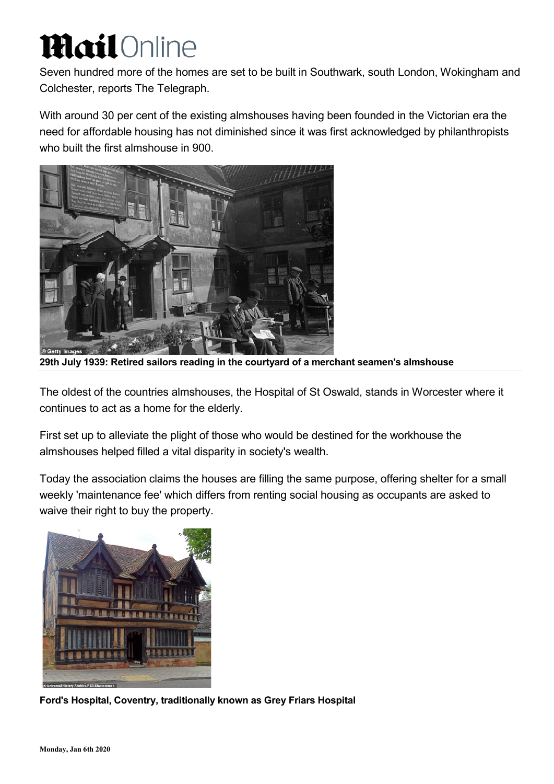# **Mail** Online

Seven hundred more of the homes are set to be built in Southwark, south London, Wokingham and Colchester, reports The Telegraph.

With around 30 per cent of the existing almshouses having been founded in the Victorian era the need for affordable housing has not diminished since it was first acknowledged by philanthropists who built the first almshouse in 900.



**29th July 1939: Retired sailors reading in the courtyard of a merchant seamen's almshouse** 

The oldest of the countries almshouses, the Hospital of St Oswald, stands in Worcester where it continues to act as a home for the elderly.

First set up to alleviate the plight of those who would be destined for the workhouse the almshouses helped filled a vital disparity in society's wealth.

Today the association claims the houses are filling the same purpose, offering shelter for a small weekly 'maintenance fee' which differs from renting social housing as occupants are asked to waive their right to buy the property.



**Ford's Hospital, Coventry, traditionally known as Grey Friars Hospital**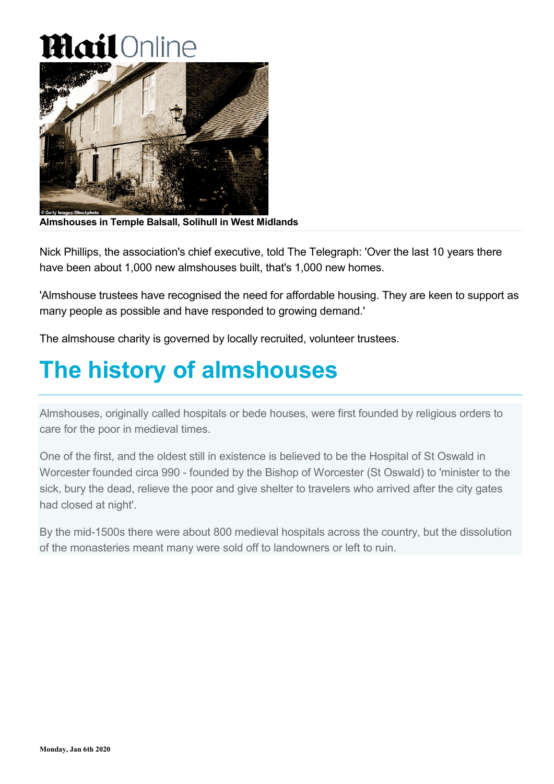## **Mail** Online



**Almshouses in Temple Balsall, Solihull in West Midlands**

Nick Phillips, the association's chief executive, told The Telegraph: 'Over the last 10 years there have been about 1,000 new almshouses built, that's 1,000 new homes.

'Almshouse trustees have recognised the need for affordable housing. They are keen to support as many people as possible and have responded to growing demand.'

The almshouse charity is governed by locally recruited, volunteer trustees.

#### **The history of almshouses**

Almshouses, originally called hospitals or bede houses, were first founded by religious orders to care for the poor in medieval times.

One of the first, and the oldest still in existence is believed to be the Hospital of St Oswald in Worcester founded circa 990 - founded by the Bishop of Worcester (St Oswald) to 'minister to the sick, bury the dead, relieve the poor and give shelter to travelers who arrived after the city gates had closed at night'.

By the mid-1500s there were about 800 medieval hospitals across the country, but the dissolution of the monasteries meant many were sold off to landowners or left to ruin.